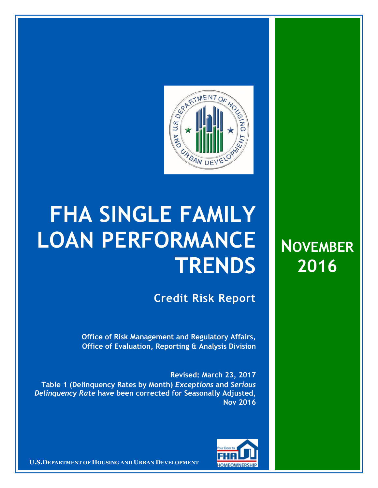

## **FHA SINGLE FAMILY LOAN PERFORMANCE TRENDS**

**Credit Risk Report**

**Office of Risk Management and Regulatory Affairs, Office of Evaluation, Reporting & Analysis Division** 

**Revised: March 23, 2017 Table 1 (Delinquency Rates by Month)** *Exceptions* **and** *Serious Delinquency Rate* **have been corrected for Seasonally Adjusted, Nov 2016**



**U.S.DEPARTMENT OF HOUSING AND URBAN DEVELOPMENT** 

**NOVEMBER 2016**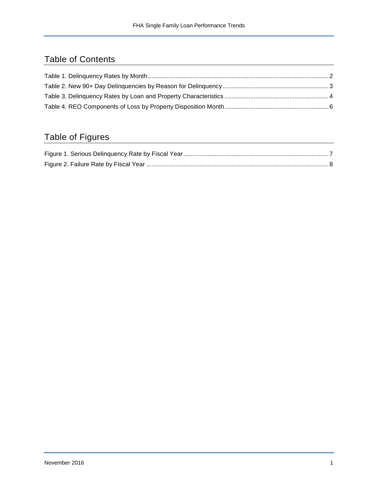## Table of Contents

## Table of Figures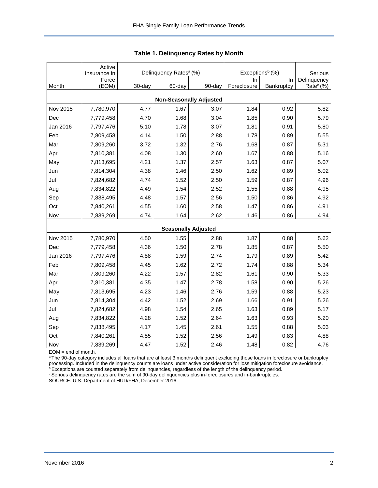<span id="page-2-0"></span>

|                                | Active<br>Insurance in | Delinquency Rates <sup>a</sup> (%) |        |                            | Exceptions <sup>b</sup> (%) | Serious    |                       |  |  |  |  |  |
|--------------------------------|------------------------|------------------------------------|--------|----------------------------|-----------------------------|------------|-----------------------|--|--|--|--|--|
|                                | Force                  |                                    |        |                            | In                          | In         | Delinquency           |  |  |  |  |  |
| Month                          | (EOM)                  | 30-day                             | 60-day | 90-day                     | Foreclosure                 | Bankruptcy | Rate <sup>c</sup> (%) |  |  |  |  |  |
| <b>Non-Seasonally Adjusted</b> |                        |                                    |        |                            |                             |            |                       |  |  |  |  |  |
| Nov 2015                       | 7,780,970              | 4.77                               | 1.67   | 3.07                       | 1.84                        | 0.92       | 5.82                  |  |  |  |  |  |
| Dec                            | 7,779,458              | 4.70                               | 1.68   | 3.04                       | 1.85                        | 0.90       | 5.79                  |  |  |  |  |  |
| Jan 2016                       | 7,797,476              | 5.10                               | 1.78   | 3.07                       | 1.81                        | 0.91       | 5.80                  |  |  |  |  |  |
| Feb                            | 7,809,458              | 4.14                               | 1.50   | 2.88                       | 1.78                        | 0.89       | 5.55                  |  |  |  |  |  |
| Mar                            | 7,809,260              | 3.72                               | 1.32   | 2.76                       | 1.68                        | 0.87       | 5.31                  |  |  |  |  |  |
| Apr                            | 7,810,381              | 4.08                               | 1.30   | 2.60                       | 1.67                        | 0.88       | 5.16                  |  |  |  |  |  |
| May                            | 7,813,695              | 4.21                               | 1.37   | 2.57                       | 1.63                        | 0.87       | 5.07                  |  |  |  |  |  |
| Jun                            | 7,814,304              | 4.38                               | 1.46   | 2.50                       | 1.62                        | 0.89       | 5.02                  |  |  |  |  |  |
| Jul                            | 7,824,682              | 4.74                               | 1.52   | 2.50                       | 1.59                        | 0.87       | 4.96                  |  |  |  |  |  |
| Aug                            | 7,834,822              | 4.49                               | 1.54   | 2.52                       | 1.55                        | 0.88       | 4.95                  |  |  |  |  |  |
| Sep                            | 7,838,495              | 4.48                               | 1.57   | 2.56                       | 1.50                        | 0.86       | 4.92                  |  |  |  |  |  |
| Oct                            | 7,840,261              | 4.55                               | 1.60   | 2.58                       | 1.47                        | 0.86       | 4.91                  |  |  |  |  |  |
| Nov                            | 7,839,269              | 4.74                               | 1.64   | 2.62                       | 1.46                        | 0.86       | 4.94                  |  |  |  |  |  |
|                                |                        |                                    |        | <b>Seasonally Adjusted</b> |                             |            |                       |  |  |  |  |  |
| Nov 2015                       | 7,780,970              | 4.50                               | 1.55   | 2.88                       | 1.87                        | 0.88       | 5.62                  |  |  |  |  |  |
| Dec                            | 7,779,458              | 4.36                               | 1.50   | 2.78                       | 1.85                        | 0.87       | 5.50                  |  |  |  |  |  |
| Jan 2016                       | 7,797,476              | 4.88                               | 1.59   | 2.74                       | 1.79                        | 0.89       | 5.42                  |  |  |  |  |  |
| Feb                            | 7,809,458              | 4.45                               | 1.62   | 2.72                       | 1.74                        | 0.88       | 5.34                  |  |  |  |  |  |
| Mar                            | 7,809,260              | 4.22                               | 1.57   | 2.82                       | 1.61                        | 0.90       | 5.33                  |  |  |  |  |  |
| Apr                            | 7,810,381              | 4.35                               | 1.47   | 2.78                       | 1.58                        | 0.90       | 5.26                  |  |  |  |  |  |
| May                            | 7,813,695              | 4.23                               | 1.46   | 2.76                       | 1.59                        | 0.88       | 5.23                  |  |  |  |  |  |
| Jun                            | 7,814,304              | 4.42                               | 1.52   | 2.69                       | 1.66                        | 0.91       | 5.26                  |  |  |  |  |  |
| Jul                            | 7,824,682              | 4.98                               | 1.54   | 2.65                       | 1.63                        | 0.89       | 5.17                  |  |  |  |  |  |
| Aug                            | 7,834,822              | 4.28                               | 1.52   | 2.64                       | 1.63                        | 0.93       | 5.20                  |  |  |  |  |  |
| Sep                            | 7,838,495              | 4.17                               | 1.45   | 2.61                       | 1.55                        | 0.88       | 5.03                  |  |  |  |  |  |
| Oct                            | 7,840,261              | 4.55                               | 1.52   | 2.56                       | 1.49                        | 0.83       | 4.88                  |  |  |  |  |  |
| Nov                            | 7,839,269              | 4.47                               | 1.52   | 2.46                       | 1.48                        | 0.82       | 4.76                  |  |  |  |  |  |

<span id="page-2-1"></span>

EOM = end of month.

<sup>a</sup>The 90-day category includes all loans that are at least 3 months delinquent excluding those loans in foreclosure or bankruptcy processing. Included in the delinquency counts are loans under active consideration for loss mitigation foreclosure avoidance.

<sup>b</sup> Exceptions are counted separately from delinquencies, regardless of the length of the delinquency period.

<sup>c</sup> Serious delinquency rates are the sum of 90-day delinquencies plus in-foreclosures and in-bankruptcies.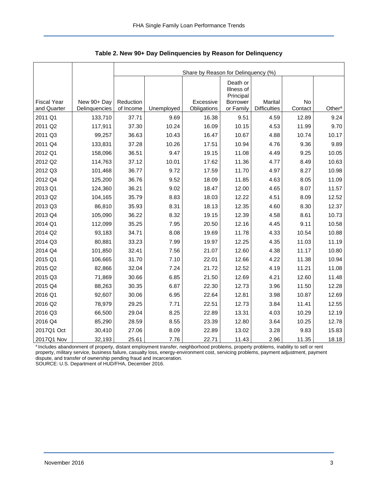<span id="page-3-0"></span>

|                                   |                              | Share by Reason for Delinquency (%) |            |                          |                                     |                                |               |                    |  |  |  |
|-----------------------------------|------------------------------|-------------------------------------|------------|--------------------------|-------------------------------------|--------------------------------|---------------|--------------------|--|--|--|
|                                   |                              |                                     |            |                          | Death or<br>Illness of<br>Principal |                                |               |                    |  |  |  |
| <b>Fiscal Year</b><br>and Quarter | New 90+ Day<br>Delinquencies | Reduction<br>of Income              | Unemployed | Excessive<br>Obligations | Borrower<br>or Family               | Marital<br><b>Difficulties</b> | No<br>Contact | Other <sup>a</sup> |  |  |  |
| 2011 Q1                           | 133,710                      | 37.71                               | 9.69       | 16.38                    | 9.51                                | 4.59                           | 12.89         | 9.24               |  |  |  |
| 2011 Q2                           | 117,911                      | 37.30                               | 10.24      | 16.09                    | 10.15                               | 4.53                           | 11.99         | 9.70               |  |  |  |
| 2011 Q3                           | 99,257                       | 36.63                               | 10.43      | 16.47                    | 10.67                               | 4.88                           | 10.74         | 10.17              |  |  |  |
| 2011 Q4                           | 133,831                      | 37.28                               | 10.26      | 17.51                    | 10.94                               | 4.76                           | 9.36          | 9.89               |  |  |  |
| 2012 Q1                           | 158,096                      | 36.51                               | 9.47       | 19.15                    | 11.08                               | 4.49                           | 9.25          | 10.05              |  |  |  |
| 2012 Q2                           | 114,763                      | 37.12                               | 10.01      | 17.62                    | 11.36                               | 4.77                           | 8.49          | 10.63              |  |  |  |
| 2012 Q3                           | 101,468                      | 36.77                               | 9.72       | 17.59                    | 11.70                               | 4.97                           | 8.27          | 10.98              |  |  |  |
| 2012 Q4                           | 125,200                      | 36.76                               | 9.52       | 18.09                    | 11.85                               | 4.63                           | 8.05          | 11.09              |  |  |  |
| 2013 Q1                           | 124,360                      | 36.21                               | 9.02       | 18.47                    | 12.00                               | 4.65                           | 8.07          | 11.57              |  |  |  |
| 2013 Q2                           | 104,165                      | 35.79                               | 8.83       | 18.03                    | 12.22                               | 4.51                           | 8.09          | 12.52              |  |  |  |
| 2013 Q3                           | 86,810                       | 35.93                               | 8.31       | 18.13                    | 12.35                               | 4.60                           | 8.30          | 12.37              |  |  |  |
| 2013 Q4                           | 105,090                      | 36.22                               | 8.32       | 19.15                    | 12.39                               | 4.58                           | 8.61          | 10.73              |  |  |  |
| 2014 Q1                           | 112,099                      | 35.25                               | 7.95       | 20.50                    | 12.16                               | 4.45                           | 9.11          | 10.58              |  |  |  |
| 2014 Q2                           | 93,183                       | 34.71                               | 8.08       | 19.69                    | 11.78                               | 4.33                           | 10.54         | 10.88              |  |  |  |
| 2014 Q3                           | 80,881                       | 33.23                               | 7.99       | 19.97                    | 12.25                               | 4.35                           | 11.03         | 11.19              |  |  |  |
| 2014 Q4                           | 101,850                      | 32.41                               | 7.56       | 21.07                    | 12.60                               | 4.38                           | 11.17         | 10.80              |  |  |  |
| 2015 Q1                           | 106,665                      | 31.70                               | 7.10       | 22.01                    | 12.66                               | 4.22                           | 11.38         | 10.94              |  |  |  |
| 2015 Q2                           | 82,866                       | 32.04                               | 7.24       | 21.72                    | 12.52                               | 4.19                           | 11.21         | 11.08              |  |  |  |
| 2015 Q3                           | 71,869                       | 30.66                               | 6.85       | 21.50                    | 12.69                               | 4.21                           | 12.60         | 11.48              |  |  |  |
| 2015 Q4                           | 88,263                       | 30.35                               | 6.87       | 22.30                    | 12.73                               | 3.96                           | 11.50         | 12.28              |  |  |  |
| 2016 Q1                           | 92,607                       | 30.06                               | 6.95       | 22.64                    | 12.81                               | 3.98                           | 10.87         | 12.69              |  |  |  |
| 2016 Q2                           | 78,979                       | 29.25                               | 7.71       | 22.51                    | 12.73                               | 3.84                           | 11.41         | 12.55              |  |  |  |
| 2016 Q3                           | 66,500                       | 29.04                               | 8.25       | 22.89                    | 13.31                               | 4.03                           | 10.29         | 12.19              |  |  |  |
| 2016 Q4                           | 85,290                       | 28.59                               | 8.55       | 23.39                    | 12.80                               | 3.64                           | 10.25         | 12.78              |  |  |  |
| 2017Q1 Oct                        | 30,410                       | 27.06                               | 8.09       | 22.89                    | 13.02                               | 3.28                           | 9.83          | 15.83              |  |  |  |
| 2017Q1 Nov                        | 32,193                       | 25.61                               | 7.76       | 22.71                    | 11.43                               | 2.96                           | 11.35         | 18.18              |  |  |  |

<span id="page-3-1"></span>**Table 2. New 90+ Day Delinquencies by Reason for Delinquency** 

a Includes abandonment of property, distant employment transfer, neighborhood problems, property problems, inability to sell or rent property, military service, business failure, casualty loss, energy-environment cost, servicing problems, payment adjustment, payment dispute, and transfer of ownership pending fraud and incarceration.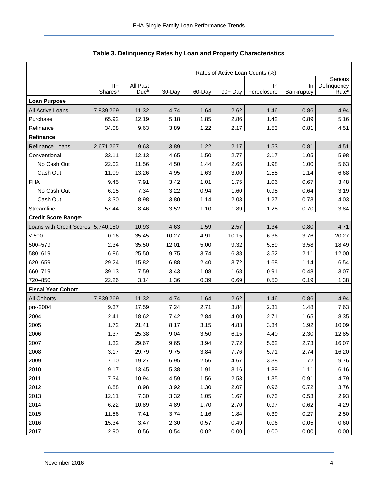<span id="page-4-0"></span>

|                           |                                   | Rates of Active Loan Counts (%) |        |        |            |                    |                  |                                  |  |  |  |
|---------------------------|-----------------------------------|---------------------------------|--------|--------|------------|--------------------|------------------|----------------------------------|--|--|--|
|                           |                                   |                                 |        |        |            |                    |                  | Serious                          |  |  |  |
|                           | <b>IIF</b><br>Shares <sup>a</sup> | All Past<br>Dueb                | 30-Day | 60-Day | $90 + Day$ | In.<br>Foreclosure | In<br>Bankruptcy | Delinquency<br>Rate <sup>c</sup> |  |  |  |
| <b>Loan Purpose</b>       |                                   |                                 |        |        |            |                    |                  |                                  |  |  |  |
| All Active Loans          | 7,839,269                         | 11.32                           | 4.74   | 1.64   | 2.62       | 1.46               | 0.86             | 4.94                             |  |  |  |
| Purchase                  | 65.92                             | 12.19                           | 5.18   | 1.85   | 2.86       | 1.42               | 0.89             | 5.16                             |  |  |  |
| Refinance                 | 34.08                             | 9.63                            | 3.89   | 1.22   | 2.17       | 1.53               | 0.81             | 4.51                             |  |  |  |
| <b>Refinance</b>          |                                   |                                 |        |        |            |                    |                  |                                  |  |  |  |
| Refinance Loans           | 2,671,267                         | 9.63                            | 3.89   | 1.22   | 2.17       | 1.53               | 0.81             | 4.51                             |  |  |  |
| Conventional              | 33.11                             | 12.13                           | 4.65   | 1.50   | 2.77       | 2.17               | 1.05             | 5.98                             |  |  |  |
| No Cash Out               | 22.02                             | 11.56                           | 4.50   | 1.44   | 2.65       | 1.98               | 1.00             | 5.63                             |  |  |  |
| Cash Out                  | 11.09                             | 13.26                           | 4.95   | 1.63   | 3.00       | 2.55               | 1.14             | 6.68                             |  |  |  |
| <b>FHA</b>                | 9.45                              | 7.91                            | 3.42   | 1.01   | 1.75       | 1.06               | 0.67             | 3.48                             |  |  |  |
| No Cash Out               | 6.15                              | 7.34                            | 3.22   | 0.94   | 1.60       | 0.95               | 0.64             | 3.19                             |  |  |  |
| Cash Out                  | 3.30                              | 8.98                            | 3.80   | 1.14   | 2.03       | 1.27               | 0.73             | 4.03                             |  |  |  |
| Streamline                | 57.44                             | 8.46                            | 3.52   | 1.10   | 1.89       | 1.25               | 0.70             | 3.84                             |  |  |  |
| Credit Score Ranged       |                                   |                                 |        |        |            |                    |                  |                                  |  |  |  |
| Loans with Credit Scores  | 5,740,180                         | 10.93                           | 4.63   | 1.59   | 2.57       | 1.34               | 0.80             | 4.71                             |  |  |  |
| < 500                     | 0.16                              | 35.45                           | 10.27  | 4.91   | 10.15      | 6.36               | 3.76             | 20.27                            |  |  |  |
| 500-579                   | 2.34                              | 35.50                           | 12.01  | 5.00   | 9.32       | 5.59               | 3.58             | 18.49                            |  |  |  |
| 580-619                   | 6.86                              | 25.50                           | 9.75   | 3.74   | 6.38       | 3.52               | 2.11             | 12.00                            |  |  |  |
| 620-659                   | 29.24                             | 15.82                           | 6.88   | 2.40   | 3.72       | 1.68               | 1.14             | 6.54                             |  |  |  |
| 660-719                   | 39.13                             | 7.59                            | 3.43   | 1.08   | 1.68       | 0.91               | 0.48             | 3.07                             |  |  |  |
| 720-850                   | 22.26                             | 3.14                            | 1.36   | 0.39   | 0.69       | 0.50               | 0.19             | 1.38                             |  |  |  |
| <b>Fiscal Year Cohort</b> |                                   |                                 |        |        |            |                    |                  |                                  |  |  |  |
| <b>All Cohorts</b>        | 7,839,269                         | 11.32                           | 4.74   | 1.64   | 2.62       | 1.46               | 0.86             | 4.94                             |  |  |  |
| pre-2004                  | 9.37                              | 17.59                           | 7.24   | 2.71   | 3.84       | 2.31               | 1.48             | 7.63                             |  |  |  |
| 2004                      | 2.41                              | 18.62                           | 7.42   | 2.84   | 4.00       | 2.71               | 1.65             | 8.35                             |  |  |  |
| 2005                      | 1.72                              | 21.41                           | 8.17   | 3.15   | 4.83       | 3.34               | 1.92             | 10.09                            |  |  |  |
| 2006                      | 1.37                              | 25.38                           | 9.04   | 3.50   | 6.15       | 4.40               | 2.30             | 12.85                            |  |  |  |
| 2007                      | 1.32                              | 29.67                           | 9.65   | 3.94   | 7.72       | 5.62               | 2.73             | 16.07                            |  |  |  |
| 2008                      | 3.17                              | 29.79                           | 9.75   | 3.84   | 7.76       | 5.71               | 2.74             | 16.20                            |  |  |  |
| 2009                      | 7.10                              | 19.27                           | 6.95   | 2.56   | 4.67       | 3.38               | 1.72             | 9.76                             |  |  |  |
| 2010                      | 9.17                              | 13.45                           | 5.38   | 1.91   | 3.16       | 1.89               | 1.11             | 6.16                             |  |  |  |
| 2011                      | 7.34                              | 10.94                           | 4.59   | 1.56   | 2.53       | 1.35               | 0.91             | 4.79                             |  |  |  |
| 2012                      | 8.88                              | 8.98                            | 3.92   | 1.30   | 2.07       | 0.96               | 0.72             | 3.76                             |  |  |  |
| 2013                      | 12.11                             | 7.30                            | 3.32   | 1.05   | 1.67       | 0.73               | 0.53             | 2.93                             |  |  |  |
| 2014                      | 6.22                              | 10.89                           | 4.89   | 1.70   | 2.70       | 0.97               | 0.62             | 4.29                             |  |  |  |
| 2015                      | 11.56                             | 7.41                            | 3.74   | 1.16   | 1.84       | 0.39               | 0.27             | 2.50                             |  |  |  |
| 2016                      | 15.34                             | 3.47                            | 2.30   | 0.57   | 0.49       | 0.06               | 0.05             | 0.60                             |  |  |  |
| 2017                      | 2.90                              | 0.56                            | 0.54   | 0.02   | 0.00       | 0.00               | 0.00             | 0.00                             |  |  |  |

<span id="page-4-1"></span>

|  |  | Table 3. Delinquency Rates by Loan and Property Characteristics |
|--|--|-----------------------------------------------------------------|
|--|--|-----------------------------------------------------------------|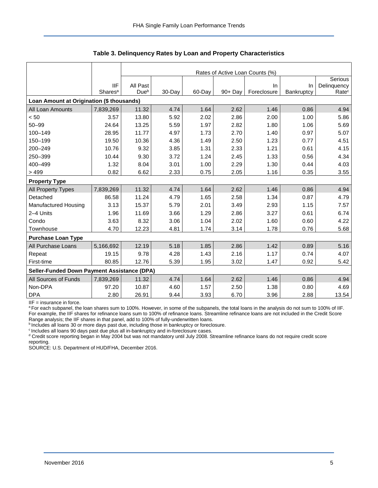|                                             |                     |                  | Rates of Active Loan Counts (%)<br>Serious |        |            |             |            |                   |  |  |  |  |
|---------------------------------------------|---------------------|------------------|--------------------------------------------|--------|------------|-------------|------------|-------------------|--|--|--|--|
|                                             | <b>IIF</b>          | All Past         |                                            |        |            | In.         | In         | Delinquency       |  |  |  |  |
|                                             | Shares <sup>a</sup> | Due <sup>b</sup> | 30-Day                                     | 60-Day | $90 + Day$ | Foreclosure | Bankruptcy | Rate <sup>c</sup> |  |  |  |  |
| Loan Amount at Origination (\$ thousands)   |                     |                  |                                            |        |            |             |            |                   |  |  |  |  |
| All Loan Amounts                            | 7,839,269           | 11.32            | 4.74                                       | 1.64   | 2.62       | 1.46        | 0.86       | 4.94              |  |  |  |  |
| < 50                                        | 3.57                | 13.80            | 5.92                                       | 2.02   | 2.86       | 2.00        | 1.00       | 5.86              |  |  |  |  |
| $50 - 99$                                   | 24.64               | 13.25            | 5.59                                       | 1.97   | 2.82       | 1.80        | 1.06       | 5.69              |  |  |  |  |
| 100-149                                     | 28.95               | 11.77            | 4.97                                       | 1.73   | 2.70       | 1.40        | 0.97       | 5.07              |  |  |  |  |
| 150-199                                     | 19.50               | 10.36            | 4.36                                       | 1.49   | 2.50       | 1.23        | 0.77       | 4.51              |  |  |  |  |
| 200-249                                     | 10.76               | 9.32             | 3.85                                       | 1.31   | 2.33       | 1.21        | 0.61       | 4.15              |  |  |  |  |
| 250-399                                     | 10.44               | 9.30             | 3.72                                       | 1.24   | 2.45       | 1.33        | 0.56       | 4.34              |  |  |  |  |
| 400-499                                     | 1.32                | 8.04             | 3.01                                       | 1.00   | 2.29       | 1.30        | 0.44       | 4.03              |  |  |  |  |
| >499                                        | 0.82                | 6.62             | 2.33                                       | 0.75   | 2.05       | 1.16        | 0.35       | 3.55              |  |  |  |  |
| <b>Property Type</b>                        |                     |                  |                                            |        |            |             |            |                   |  |  |  |  |
| All Property Types                          | 7,839,269           | 11.32            | 4.74                                       | 1.64   | 2.62       | 1.46        | 0.86       | 4.94              |  |  |  |  |
| Detached                                    | 86.58               | 11.24            | 4.79                                       | 1.65   | 2.58       | 1.34        | 0.87       | 4.79              |  |  |  |  |
| Manufactured Housing                        | 3.13                | 15.37            | 5.79                                       | 2.01   | 3.49       | 2.93        | 1.15       | 7.57              |  |  |  |  |
| 2-4 Units                                   | 1.96                | 11.69            | 3.66                                       | 1.29   | 2.86       | 3.27        | 0.61       | 6.74              |  |  |  |  |
| Condo                                       | 3.63                | 8.32             | 3.06                                       | 1.04   | 2.02       | 1.60        | 0.60       | 4.22              |  |  |  |  |
| Townhouse                                   | 4.70                | 12.23            | 4.81                                       | 1.74   | 3.14       | 1.78        | 0.76       | 5.68              |  |  |  |  |
| <b>Purchase Loan Type</b>                   |                     |                  |                                            |        |            |             |            |                   |  |  |  |  |
| All Purchase Loans                          | 5,166,692           | 12.19            | 5.18                                       | 1.85   | 2.86       | 1.42        | 0.89       | 5.16              |  |  |  |  |
| Repeat                                      | 19.15               | 9.78             | 4.28                                       | 1.43   | 2.16       | 1.17        | 0.74       | 4.07              |  |  |  |  |
| First-time                                  | 80.85               | 12.76            | 5.39                                       | 1.95   | 3.02       | 1.47        | 0.92       | 5.42              |  |  |  |  |
| Seller-Funded Down Payment Assistance (DPA) |                     |                  |                                            |        |            |             |            |                   |  |  |  |  |
| All Sources of Funds                        | 7,839,269           | 11.32            | 4.74                                       | 1.64   | 2.62       | 1.46        | 0.86       | 4.94              |  |  |  |  |
| Non-DPA                                     | 97.20               | 10.87            | 4.60                                       | 1.57   | 2.50       | 1.38        | 0.80       | 4.69              |  |  |  |  |
| <b>DPA</b>                                  | 2.80                | 26.91            | 9.44                                       | 3.93   | 6.70       | 3.96        | 2.88       | 13.54             |  |  |  |  |

**Table 3. Delinquency Rates by Loan and Property Characteristics** 

IIF = insurance in force.

a For each subpanel, the loan shares sum to 100%. However, in some of the subpanels, the total loans in the analysis do not sum to 100% of IIF. For example, the IIF shares for refinance loans sum to 100% of refinance loans. Streamline refinance loans are not included in the Credit Score Range analysis; the IIF shares in that panel, add to 100% of fully-underwritten loans.

b Includes all loans 30 or more days past due, including those in bankruptcy or foreclosure.

<sup>c</sup> Includes all loans 90 days past due plus all in-bankruptcy and in-foreclosure cases.

<sup>d</sup> Credit score reporting began in May 2004 but was not mandatory until July 2008. Streamline refinance loans do not require credit score reporting.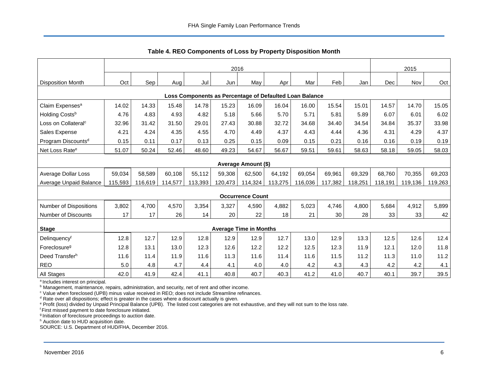<span id="page-6-0"></span>

|                                                         | 2016    |         |         |         |         |                               |         |         |         |         | 2015    |         |         |
|---------------------------------------------------------|---------|---------|---------|---------|---------|-------------------------------|---------|---------|---------|---------|---------|---------|---------|
| <b>Disposition Month</b>                                | Oct     | Sep     | Aug     | Jul     | Jun     | May                           | Apr     | Mar     | Feb     | Jan     | Dec     | Nov     | Oct     |
| Loss Components as Percentage of Defaulted Loan Balance |         |         |         |         |         |                               |         |         |         |         |         |         |         |
| Claim Expenses <sup>a</sup>                             | 14.02   | 14.33   | 15.48   | 14.78   | 15.23   | 16.09                         | 16.04   | 16.00   | 15.54   | 15.01   | 14.57   | 14.70   | 15.05   |
| Holding Costs <sup>b</sup>                              | 4.76    | 4.83    | 4.93    | 4.82    | 5.18    | 5.66                          | 5.70    | 5.71    | 5.81    | 5.89    | 6.07    | 6.01    | 6.02    |
| Loss on Collateral <sup>c</sup>                         | 32.96   | 31.42   | 31.50   | 29.01   | 27.43   | 30.88                         | 32.72   | 34.68   | 34.40   | 34.54   | 34.84   | 35.37   | 33.98   |
| Sales Expense                                           | 4.21    | 4.24    | 4.35    | 4.55    | 4.70    | 4.49                          | 4.37    | 4.43    | 4.44    | 4.36    | 4.31    | 4.29    | 4.37    |
| Program Discounts <sup>d</sup>                          | 0.15    | 0.11    | 0.17    | 0.13    | 0.25    | 0.15                          | 0.09    | 0.15    | 0.21    | 0.16    | 0.16    | 0.19    | 0.19    |
| Net Loss Rate <sup>e</sup>                              | 51.07   | 50.24   | 52.46   | 48.60   | 49.23   | 54.67                         | 56.67   | 59.51   | 59.61   | 58.63   | 58.18   | 59.05   | 58.03   |
|                                                         |         |         |         |         |         | Average Amount (\$)           |         |         |         |         |         |         |         |
| Average Dollar Loss                                     | 59,034  | 58,589  | 60,108  | 55,112  | 59,308  | 62,500                        | 64,192  | 69,054  | 69,961  | 69,329  | 68,760  | 70,355  | 69,203  |
| Average Unpaid Balance                                  | 115,593 | 116,619 | 114,577 | 113,393 | 120,473 | 114,324                       | 113,275 | 116,036 | 117,382 | 118,251 | 118,191 | 119,136 | 119,263 |
|                                                         |         |         |         |         |         | <b>Occurrence Count</b>       |         |         |         |         |         |         |         |
| <b>Number of Dispositions</b>                           | 3,802   | 4,700   | 4,570   | 3,354   | 3,327   | 4,590                         | 4,882   | 5,023   | 4,746   | 4,800   | 5,684   | 4,912   | 5,899   |
| Number of Discounts                                     | 17      | 17      | 26      | 14      | 20      | 22                            | 18      | 21      | 30      | 28      | 33      | 33      | 42      |
| <b>Stage</b>                                            |         |         |         |         |         | <b>Average Time in Months</b> |         |         |         |         |         |         |         |
| Delinquencyf                                            | 12.8    | 12.7    | 12.9    | 12.8    | 12.9    | 12.9                          | 12.7    | 13.0    | 12.9    | 13.3    | 12.5    | 12.6    | 12.4    |
| Foreclosure <sup>g</sup>                                | 12.8    | 13.1    | 13.0    | 12.3    | 12.6    | 12.2                          | 12.2    | 12.5    | 12.3    | 11.9    | 12.1    | 12.0    | 11.8    |
| Deed Transferh                                          | 11.6    | 11.4    | 11.9    | 11.6    | 11.3    | 11.6                          | 11.4    | 11.6    | 11.5    | 11.2    | 11.3    | 11.0    | 11.2    |
| <b>REO</b>                                              | 5.0     | 4.8     | 4.7     | 4.4     | 4.1     | 4.0                           | 4.0     | 4.2     | 4.3     | 4.3     | 4.2     | 4.2     | 4.1     |
| All Stages                                              | 42.0    | 41.9    | 42.4    | 41.1    | 40.8    | 40.7                          | 40.3    | 41.2    | 41.0    | 40.7    | 40.1    | 39.7    | 39.5    |

<span id="page-6-1"></span>**Table 4. REO Components of Loss by Property Disposition Month** 

<sup>a</sup> Includes interest on principal.

<sup>b</sup> Management, maintenance, repairs, administration, and security, net of rent and other income.

<sup>c</sup> Value when foreclosed (UPB) minus value received in REO; does not include Streamline refinances.

<sup>d</sup> Rate over all dispositions; effect is greater in the cases where a discount actually is given.

e Profit (loss) divided by Unpaid Principal Balance (UPB). The listed cost categories are not exhaustive, and they will not sum to the loss rate.

<sup>f</sup>First missed payment to date foreclosure initiated.

<sup>9</sup> Initiation of foreclosure proceedings to auction date.

h Auction date to HUD acquisition date.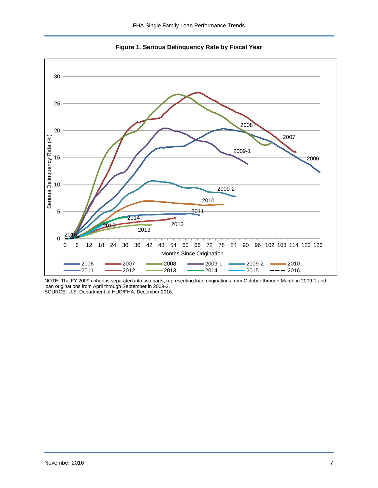<span id="page-7-0"></span>



NOTE: The FY 2009 cohort is separated into two parts, representing loan originations from October through March in 2009-1 and loan originations from April through September in 2009-2.